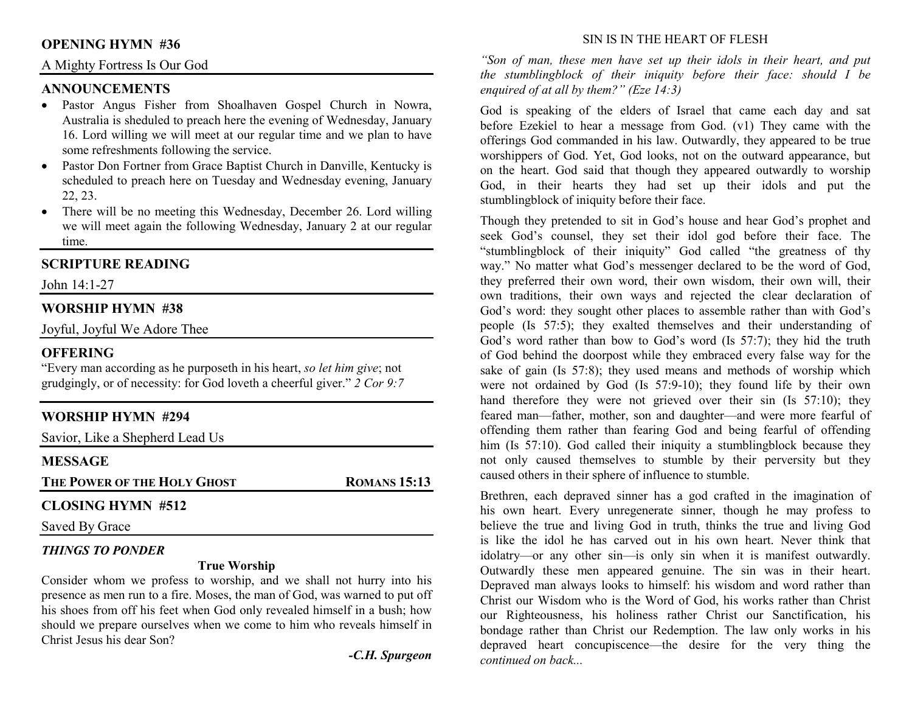## **OPENING HYMN #36**

## A Mighty Fortress Is Our God

## **ANNOUNCEMENTS**

- Pastor Angus Fisher from Shoalhaven Gospel Church in Nowra, Australia is sheduled to preach here the evening of Wednesday, January 16. Lord willing we will meet at our regular time and we plan to have some refreshments following the service.
- Pastor Don Fortner from Grace Baptist Church in Danville, Kentucky is scheduled to preach here on Tuesday and Wednesday evening, January 22, 23.
- There will be no meeting this Wednesday, December 26. Lord willing we will meet again the following Wednesday, January 2 at our regular time.

## **SCRIPTURE READING**

John 14:1-27

## **WORSHIP HYMN #38**

Joyful, Joyful We Adore Thee

#### **OFFERING**

 "Every man according as he purposeth in his heart, *so let him give*; not grudgingly, or of necessity: for God loveth a cheerful giver." *2 Cor 9:7*

## **WORSHIP HYMN #294**

Savior, Like a Shepherd Lead Us

## **MESSAGE**

**THE POWER OF THE HOLY GHOST**

**ROMANS 15:13** 

## **CLOSING HYMN #512**

Saved By Grace

## *THINGS TO PONDER*

#### **True Worship**

 Consider whom we profess to worship, and we shall not hurry into his presence as men run to a fire. Moses, the man of God, was warned to put off his shoes from off his feet when God only revealed himself in a bush; how should we prepare ourselves when we come to him who reveals himself in Christ Jesus his dear Son?

*-C.H. Spurgeon* 

#### SIN IS IN THE HEART OF FLESH

*"Son of man, these men have set up their idols in their heart, and put the stumblingblock of their iniquity before their face: should I be enquired of at all by them?" (Eze 14:3)* 

God is speaking of the elders of Israel that came each day and sat before Ezekiel to hear a message from God. (v1) They came with the offerings God commanded in his law. Outwardly, they appeared to be true worshippers of God. Yet, God looks, not on the outward appearance, but on the heart. God said that though they appeared outwardly to worship God, in their hearts they had set up their idols and put the stumblingblock of iniquity before their face.

Though they pretended to sit in God's house and hear God's prophet and seek God's counsel, they set their idol god before their face. The "stumblingblock of their iniquity" God called "the greatness of thy way." No matter what God's messenger declared to be the word of God, they preferred their own word, their own wisdom, their own will, their own traditions, their own ways and rejected the clear declaration of God's word: they sought other places to assemble rather than with God's people (Is 57:5); they exalted themselves and their understanding of God's word rather than bow to God's word (Is 57:7); they hid the truth of God behind the doorpost while they embraced every false way for the sake of gain (Is 57:8); they used means and methods of worship which were not ordained by God (Is 57:9-10); they found life by their own hand therefore they were not grieved over their sin (Is 57:10); they feared man—father, mother, son and daughter—and were more fearful of offending them rather than fearing God and being fearful of offending him (Is 57:10). God called their iniquity a stumblingblock because they not only caused themselves to stumble by their perversity but they caused others in their sphere of influence to stumble.

Brethren, each depraved sinner has a god crafted in the imagination of his own heart. Every unregenerate sinner, though he may profess to believe the true and living God in truth, thinks the true and living God is like the idol he has carved out in his own heart. Never think that idolatry—or any other sin—is only sin when it is manifest outwardly. Outwardly these men appeared genuine. The sin was in their heart. Depraved man always looks to himself: his wisdom and word rather than Christ our Wisdom who is the Word of God, his works rather than Christ our Righteousness, his holiness rather Christ our Sanctification, his bondage rather than Christ our Redemption. The law only works in his depraved heart concupiscence—the desire for the very thing the *continued on back...*